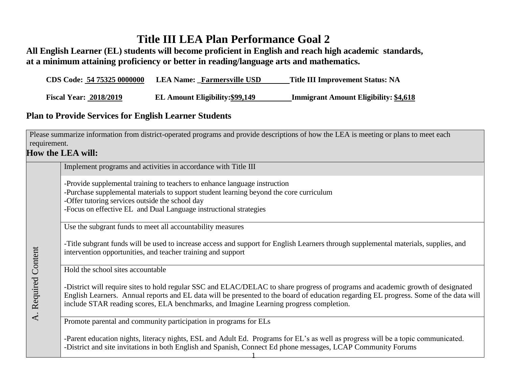## **Title III LEA Plan Performance Goal 2**

**All English Learner (EL) students will become proficient in English and reach high academic standards, at a minimum attaining proficiency or better in reading/language arts and mathematics.**

| CDS Code: 54 75325 0000000    | <b>LEA Name: Farmersville USD</b> | <b>Title III Improvement Status: NA</b>      |
|-------------------------------|-----------------------------------|----------------------------------------------|
| <b>Fiscal Year: 2018/2019</b> | EL Amount Eligibility: \$99,149   | <b>Immigrant Amount Eligibility: \$4,618</b> |

## **Plan to Provide Services for English Learner Students**

Please summarize information from district-operated programs and provide descriptions of how the LEA is meeting or plans to meet each requirement.

## **How the LEA will:**

A. Required Content

A. Required Content

Implement programs and activities in accordance with Title III

-Provide supplemental training to teachers to enhance language instruction

-Purchase supplemental materials to support student learning beyond the core curriculum

-Offer tutoring services outside the school day

-Focus on effective EL and Dual Language instructional strategies

Use the subgrant funds to meet all accountability measures

-Title subgrant funds will be used to increase access and support for English Learners through supplemental materials, supplies, and intervention opportunities, and teacher training and support

Hold the school sites accountable

-District will require sites to hold regular SSC and ELAC/DELAC to share progress of programs and academic growth of designated English Learners. Annual reports and EL data will be presented to the board of education regarding EL progress. Some of the data will include STAR reading scores, ELA benchmarks, and Imagine Learning progress completion.

Promote parental and community participation in programs for ELs

-Parent education nights, literacy nights, ESL and Adult Ed. Programs for EL's as well as progress will be a topic communicated. -District and site invitations in both English and Spanish, Connect Ed phone messages, LCAP Community Forums

1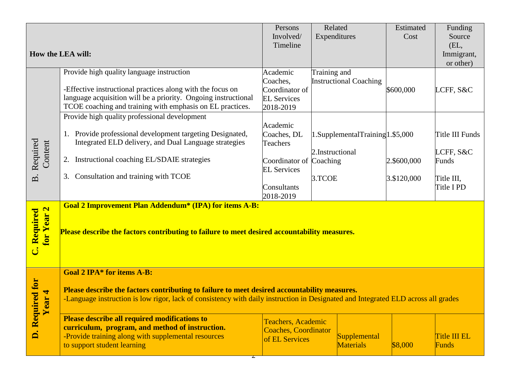|                                                                                                                                   |                                                                                                                                  | Persons                     | Related                             | Estimated   | Funding                |  |  |
|-----------------------------------------------------------------------------------------------------------------------------------|----------------------------------------------------------------------------------------------------------------------------------|-----------------------------|-------------------------------------|-------------|------------------------|--|--|
|                                                                                                                                   |                                                                                                                                  | Involved/                   | Expenditures                        | Cost        | Source                 |  |  |
|                                                                                                                                   |                                                                                                                                  | Timeline                    |                                     |             | (EL,                   |  |  |
|                                                                                                                                   | How the LEA will:                                                                                                                |                             |                                     |             | Immigrant,             |  |  |
|                                                                                                                                   |                                                                                                                                  |                             |                                     |             | or other)              |  |  |
|                                                                                                                                   | Provide high quality language instruction                                                                                        | Academic                    | Training and                        |             |                        |  |  |
|                                                                                                                                   |                                                                                                                                  | Coaches,                    | <b>Instructional Coaching</b>       |             |                        |  |  |
|                                                                                                                                   | -Effective instructional practices along with the focus on                                                                       | Coordinator of              |                                     | \$600,000   | LCFF, S&C              |  |  |
|                                                                                                                                   | language acquisition will be a priority. Ongoing instructional                                                                   | <b>EL Services</b>          |                                     |             |                        |  |  |
|                                                                                                                                   | TCOE coaching and training with emphasis on EL practices.                                                                        | 2018-2019                   |                                     |             |                        |  |  |
|                                                                                                                                   | Provide high quality professional development                                                                                    |                             |                                     |             |                        |  |  |
|                                                                                                                                   |                                                                                                                                  | Academic                    |                                     |             |                        |  |  |
|                                                                                                                                   | 1. Provide professional development targeting Designated,                                                                        | Coaches, DL                 | $1.SupplementalTraining 1.$ \$5,000 |             | <b>Title III Funds</b> |  |  |
| Required<br>Content                                                                                                               | Integrated ELD delivery, and Dual Language strategies                                                                            | <b>Teachers</b>             |                                     |             |                        |  |  |
|                                                                                                                                   |                                                                                                                                  |                             | 2.Instructional                     |             | LCFF, S&C              |  |  |
|                                                                                                                                   | 2. Instructional coaching EL/SDAIE strategies                                                                                    | Coordinator of              | Coaching                            | 2.\$600,000 | Funds                  |  |  |
|                                                                                                                                   |                                                                                                                                  | <b>EL Services</b>          |                                     |             |                        |  |  |
| $\overline{\mathbf{m}}$                                                                                                           | Consultation and training with TCOE<br>3.                                                                                        |                             | 3.TCOE                              | 3.\$120,000 | Title III,             |  |  |
|                                                                                                                                   |                                                                                                                                  | Consultants                 |                                     |             | Title I PD             |  |  |
|                                                                                                                                   |                                                                                                                                  | 2018-2019                   |                                     |             |                        |  |  |
|                                                                                                                                   | <b>Goal 2 Improvement Plan Addendum* (IPA) for items A-B:</b>                                                                    |                             |                                     |             |                        |  |  |
|                                                                                                                                   |                                                                                                                                  |                             |                                     |             |                        |  |  |
|                                                                                                                                   |                                                                                                                                  |                             |                                     |             |                        |  |  |
|                                                                                                                                   | for Year 2<br><b>C. Required</b><br>Please describe the factors contributing to failure to meet desired accountability measures. |                             |                                     |             |                        |  |  |
|                                                                                                                                   |                                                                                                                                  |                             |                                     |             |                        |  |  |
|                                                                                                                                   |                                                                                                                                  |                             |                                     |             |                        |  |  |
|                                                                                                                                   |                                                                                                                                  |                             |                                     |             |                        |  |  |
|                                                                                                                                   | <b>Goal 2 IPA* for items A-B:</b>                                                                                                |                             |                                     |             |                        |  |  |
|                                                                                                                                   |                                                                                                                                  |                             |                                     |             |                        |  |  |
|                                                                                                                                   | Please describe the factors contributing to failure to meet desired accountability measures.                                     |                             |                                     |             |                        |  |  |
| -Language instruction is low rigor, lack of consistency with daily instruction in Designated and Integrated ELD across all grades |                                                                                                                                  |                             |                                     |             |                        |  |  |
| D. Required for                                                                                                                   |                                                                                                                                  |                             |                                     |             |                        |  |  |
|                                                                                                                                   | <b>Please describe all required modifications to</b>                                                                             | <b>Teachers, Academic</b>   |                                     |             |                        |  |  |
|                                                                                                                                   | curriculum, program, and method of instruction.                                                                                  | <b>Coaches, Coordinator</b> |                                     |             |                        |  |  |
|                                                                                                                                   | -Provide training along with supplemental resources                                                                              | of EL Services              | Supplemental                        |             | Title III EL           |  |  |
|                                                                                                                                   | to support student learning                                                                                                      |                             | <b>Materials</b>                    | \$8,000     | Funds                  |  |  |
|                                                                                                                                   |                                                                                                                                  |                             |                                     |             |                        |  |  |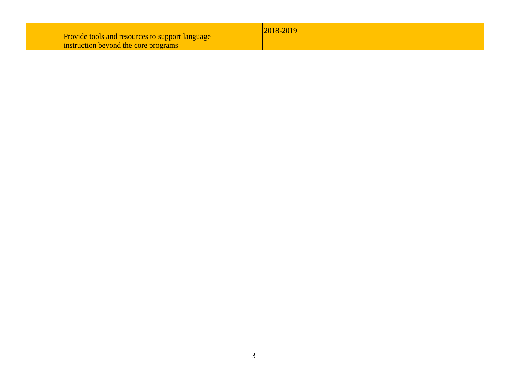|  | <b>Provide tools and resources to support language</b><br>instruction beyond the core programs | 2018-2019 |  |  |  |
|--|------------------------------------------------------------------------------------------------|-----------|--|--|--|
|--|------------------------------------------------------------------------------------------------|-----------|--|--|--|